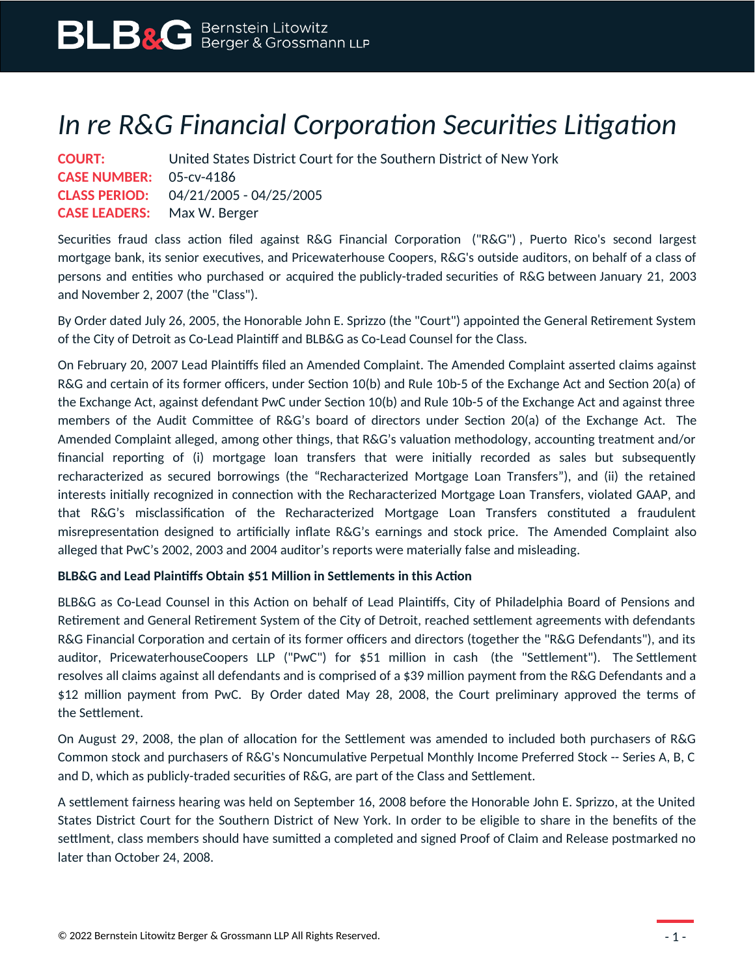## *In re R&G Financial Corporation Securities Litigation*

| <b>COURT:</b>                      | United States District Court for the Southern District of New York |
|------------------------------------|--------------------------------------------------------------------|
| <b>CASE NUMBER:</b> 05-cv-4186     |                                                                    |
|                                    | <b>CLASS PERIOD:</b> 04/21/2005 - 04/25/2005                       |
| <b>CASE LEADERS:</b> Max W. Berger |                                                                    |

Securities fraud class action filed against R&G Financial Corporation ("R&G") , Puerto Rico's second largest mortgage bank, its senior executives, and Pricewaterhouse Coopers, R&G's outside auditors, on behalf of a class of persons and entities who purchased or acquired the publicly-traded securities of R&G between January 21, 2003 and November 2, 2007 (the "Class").

By Order dated July 26, 2005, the Honorable John E. Sprizzo (the "Court") appointed the General Retirement System of the City of Detroit as Co-Lead Plaintiff and BLB&G as Co-Lead Counsel for the Class.

On February 20, 2007 Lead Plaintiffs filed an Amended Complaint. The Amended Complaint asserted claims against R&G and certain of its former officers, under Section 10(b) and Rule 10b-5 of the Exchange Act and Section 20(a) of the Exchange Act, against defendant PwC under Section 10(b) and Rule 10b-5 of the Exchange Act and against three members of the Audit Committee of R&G's board of directors under Section 20(a) of the Exchange Act. The Amended Complaint alleged, among other things, that R&G's valuation methodology, accounting treatment and/or financial reporting of (i) mortgage loan transfers that were initially recorded as sales but subsequently recharacterized as secured borrowings (the "Recharacterized Mortgage Loan Transfers"), and (ii) the retained interests initially recognized in connection with the Recharacterized Mortgage Loan Transfers, violated GAAP, and that R&G's misclassification of the Recharacterized Mortgage Loan Transfers constituted a fraudulent misrepresentation designed to artificially inflate R&G's earnings and stock price. The Amended Complaint also alleged that PwC's 2002, 2003 and 2004 auditor's reports were materially false and misleading.

## **BLB&G and Lead Plaintiffs Obtain \$51 Million in Settlements in this Action**

BLB&G as Co-Lead Counsel in this Action on behalf of Lead Plaintiffs, City of Philadelphia Board of Pensions and Retirement and General Retirement System of the City of Detroit, reached settlement agreements with defendants R&G Financial Corporation and certain of its former officers and directors (together the "R&G Defendants"), and its auditor, PricewaterhouseCoopers LLP ("PwC") for \$51 million in cash (the "Settlement"). The Settlement resolves all claims against all defendants and is comprised of a \$39 million payment from the R&G Defendants and a \$12 million payment from PwC. By Order dated May 28, 2008, the Court preliminary approved the terms of the Settlement.

On August 29, 2008, the plan of allocation for the Settlement was amended to included both purchasers of R&G Common stock and purchasers of R&G's Noncumulative Perpetual Monthly Income Preferred Stock -- Series A, B, C and D, which as publicly-traded securities of R&G, are part of the Class and Settlement.

A settlement fairness hearing was held on September 16, 2008 before the Honorable John E. Sprizzo, at the United States District Court for the Southern District of New York. In order to be eligible to share in the benefits of the settlment, class members should have sumitted a completed and signed Proof of Claim and Release postmarked no later than October 24, 2008.